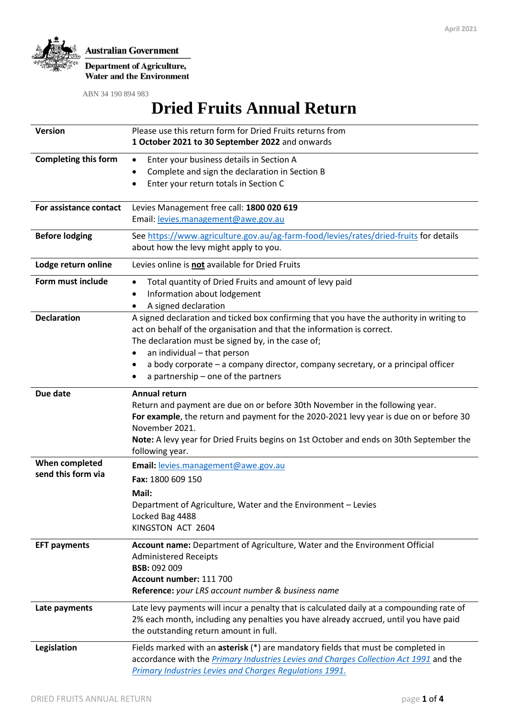

**Department of Agriculture, Water and the Environment** 

ABN 34 190 894 983

# **Dried Fruits Annual Return**

| <b>Version</b>              | Please use this return form for Dried Fruits returns from                                                  |  |  |  |  |
|-----------------------------|------------------------------------------------------------------------------------------------------------|--|--|--|--|
|                             | 1 October 2021 to 30 September 2022 and onwards                                                            |  |  |  |  |
| <b>Completing this form</b> | Enter your business details in Section A<br>$\bullet$                                                      |  |  |  |  |
|                             | Complete and sign the declaration in Section B<br>$\bullet$                                                |  |  |  |  |
|                             | Enter your return totals in Section C<br>$\bullet$                                                         |  |  |  |  |
| For assistance contact      | Levies Management free call: 1800 020 619                                                                  |  |  |  |  |
|                             | Email: levies.management@awe.gov.au                                                                        |  |  |  |  |
| <b>Before lodging</b>       | See https://www.agriculture.gov.au/ag-farm-food/levies/rates/dried-fruits for details                      |  |  |  |  |
|                             | about how the levy might apply to you.                                                                     |  |  |  |  |
| Lodge return online         | Levies online is not available for Dried Fruits                                                            |  |  |  |  |
| Form must include           | Total quantity of Dried Fruits and amount of levy paid<br>$\bullet$                                        |  |  |  |  |
|                             | Information about lodgement                                                                                |  |  |  |  |
|                             | A signed declaration<br>٠                                                                                  |  |  |  |  |
| <b>Declaration</b>          | A signed declaration and ticked box confirming that you have the authority in writing to                   |  |  |  |  |
|                             | act on behalf of the organisation and that the information is correct.                                     |  |  |  |  |
|                             | The declaration must be signed by, in the case of;<br>an individual - that person<br>٠                     |  |  |  |  |
|                             | a body corporate - a company director, company secretary, or a principal officer                           |  |  |  |  |
|                             | a partnership - one of the partners                                                                        |  |  |  |  |
| Due date                    | <b>Annual return</b>                                                                                       |  |  |  |  |
|                             | Return and payment are due on or before 30th November in the following year.                               |  |  |  |  |
|                             | For example, the return and payment for the 2020-2021 levy year is due on or before 30                     |  |  |  |  |
|                             | November 2021.                                                                                             |  |  |  |  |
|                             | Note: A levy year for Dried Fruits begins on 1st October and ends on 30th September the<br>following year. |  |  |  |  |
| When completed              | Email: levies.management@awe.gov.au                                                                        |  |  |  |  |
| send this form via          |                                                                                                            |  |  |  |  |
|                             | Fax: 1800 609 150                                                                                          |  |  |  |  |
|                             | Mail:                                                                                                      |  |  |  |  |
|                             | Department of Agriculture, Water and the Environment - Levies<br>Locked Bag 4488                           |  |  |  |  |
|                             | KINGSTON ACT 2604                                                                                          |  |  |  |  |
|                             |                                                                                                            |  |  |  |  |
| <b>EFT payments</b>         | Account name: Department of Agriculture, Water and the Environment Official                                |  |  |  |  |
|                             | <b>Administered Receipts</b><br><b>BSB: 092 009</b>                                                        |  |  |  |  |
|                             | Account number: 111 700                                                                                    |  |  |  |  |
|                             | Reference: your LRS account number & business name                                                         |  |  |  |  |
| Late payments               | Late levy payments will incur a penalty that is calculated daily at a compounding rate of                  |  |  |  |  |
|                             | 2% each month, including any penalties you have already accrued, until you have paid                       |  |  |  |  |
|                             | the outstanding return amount in full.                                                                     |  |  |  |  |
| Legislation                 | Fields marked with an asterisk (*) are mandatory fields that must be completed in                          |  |  |  |  |
|                             | accordance with the Primary Industries Levies and Charges Collection Act 1991 and the                      |  |  |  |  |
|                             | <b>Primary Industries Levies and Charges Regulations 1991.</b>                                             |  |  |  |  |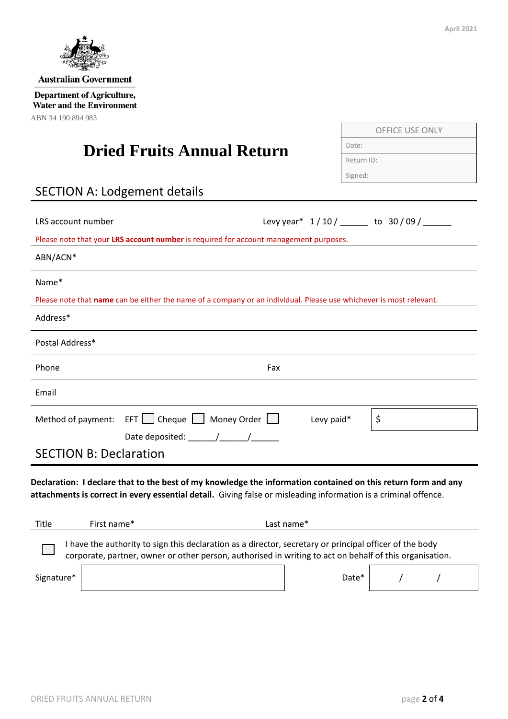

**Australian Government** 

**Department of Agriculture,** Water and the Environment ABN 34 190 894 983

## **Dried Fruits Annual Return**

| <b>SECTION A: Lodgement details</b> |  |
|-------------------------------------|--|
|-------------------------------------|--|

| LRS account number                                                                                                                                                                                                               | Levy year* 1/10/ _____ to 30/09/ _____ |  |  |  |  |
|----------------------------------------------------------------------------------------------------------------------------------------------------------------------------------------------------------------------------------|----------------------------------------|--|--|--|--|
| Please note that your LRS account number is required for account management purposes.                                                                                                                                            |                                        |  |  |  |  |
| ABN/ACN*                                                                                                                                                                                                                         |                                        |  |  |  |  |
| Name*                                                                                                                                                                                                                            |                                        |  |  |  |  |
| Please note that name can be either the name of a company or an individual. Please use whichever is most relevant.                                                                                                               |                                        |  |  |  |  |
| Address*                                                                                                                                                                                                                         |                                        |  |  |  |  |
| Postal Address*                                                                                                                                                                                                                  |                                        |  |  |  |  |
| Phone                                                                                                                                                                                                                            | Fax                                    |  |  |  |  |
| Email                                                                                                                                                                                                                            |                                        |  |  |  |  |
| Method of payment: EFT   Cheque   Money Order                                                                                                                                                                                    | \$<br>Levy paid*                       |  |  |  |  |
| Date deposited: $\sqrt{2\pi}$                                                                                                                                                                                                    |                                        |  |  |  |  |
| <b>SECTION B: Declaration</b>                                                                                                                                                                                                    |                                        |  |  |  |  |
| Declaration: I declare that to the best of my knowledge the information contained on this return form and any<br>attachments is correct in every essential detail. Giving false or misleading information is a criminal offence. |                                        |  |  |  |  |
| Title<br>First name*                                                                                                                                                                                                             | Last name*                             |  |  |  |  |
| I have the authority to sign this declaration as a director, secretary or principal officer of the body<br>corporate, partner, owner or other person, authorised in writing to act on behalf of this organisation.               |                                        |  |  |  |  |
| Signature*                                                                                                                                                                                                                       | Date*                                  |  |  |  |  |

OFFICE USE ONLY

Date:

Return ID: Signed: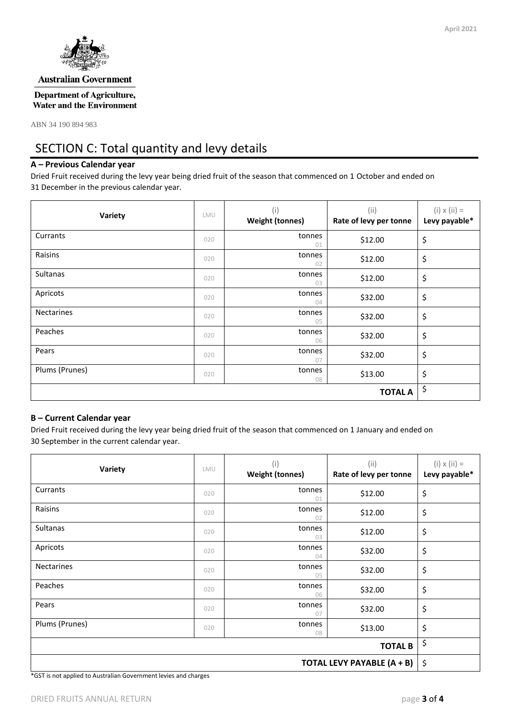

#### **Australian Government**

**Department of Agriculture, Water and the Environment** 

ABN 34 190 894 983

## SECTION C: Total quantity and levy details

### **A – Previous Calendar year**

Dried Fruit received during the levy year being dried fruit of the season that commenced on 1 October and ended on 31 December in the previous calendar year.

| Variety           | LMU | (i)<br><b>Weight (tonnes)</b> | (i)<br>Rate of levy per tonne | $(i) \times (ii) =$<br>Levy payable* |
|-------------------|-----|-------------------------------|-------------------------------|--------------------------------------|
| Currants          | 020 | tonnes<br>01                  | \$12.00                       | \$                                   |
| Raisins           | 020 | tonnes<br>02                  | \$12.00                       | \$                                   |
| Sultanas          | 020 | tonnes<br>03                  | \$12.00                       | \$                                   |
| Apricots          | 020 | tonnes<br>04                  | \$32.00                       | \$                                   |
| <b>Nectarines</b> | 020 | tonnes<br>05                  | \$32.00                       | \$                                   |
| Peaches           | 020 | tonnes<br>06                  | \$32.00                       | \$                                   |
| Pears             | 020 | tonnes<br>07                  | \$32.00                       | \$                                   |
| Plums (Prunes)    | 020 | tonnes<br>08                  | \$13.00                       | \$                                   |
|                   |     |                               | <b>TOTAL A</b>                | \$                                   |

#### **B – Current Calendar year**

Dried Fruit received during the levy year being dried fruit of the season that commenced on 1 January and ended on 30 September in the current calendar year.

| Variety                    | LMU | (i)<br><b>Weight (tonnes)</b> | (ii)<br>Rate of levy per tonne | $(i) \times (ii) =$<br>Levy payable* |  |
|----------------------------|-----|-------------------------------|--------------------------------|--------------------------------------|--|
| Currants                   |     | tonnes<br>01                  | \$12.00                        | \$                                   |  |
| Raisins                    |     | tonnes<br>02                  | \$12.00                        | \$                                   |  |
| Sultanas                   | 020 | tonnes<br>03                  | \$12.00                        | \$                                   |  |
| Apricots                   | 020 | tonnes<br>04                  | \$32.00                        | \$                                   |  |
| <b>Nectarines</b>          | 020 | tonnes<br>05                  | \$32.00                        | \$                                   |  |
| Peaches                    | 020 | tonnes<br>06                  | \$32.00                        | \$                                   |  |
| Pears                      | 020 | tonnes<br>07                  | \$32.00                        | \$                                   |  |
| Plums (Prunes)             | 020 | tonnes<br>08                  | \$13.00                        | \$                                   |  |
| <b>TOTAL B</b>             |     |                               |                                |                                      |  |
| TOTAL LEVY PAYABLE (A + B) |     |                               |                                |                                      |  |

\*GST is not applied to Australian Government levies and charges